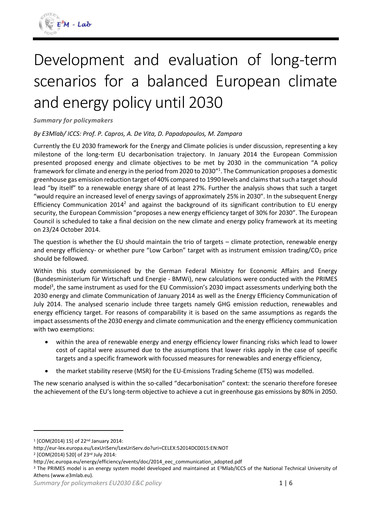

# Development and evaluation of long-term scenarios for a balanced European climate and energy policy until 2030

*Summary for policymakers*

#### *By E3Mlab/ ICCS: Prof. P. Capros, A. De Vita, D. Papadopoulos, M. Zampara*

Currently the EU 2030 framework for the Energy and Climate policies is under discussion, representing a key milestone of the long-term EU decarbonisation trajectory. In January 2014 the European Commission presented proposed energy and climate objectives to be met by 2030 in the communication "A policy framework for climate and energy in the period from 2020 to 2030" 1 . The Communication proposes a domestic greenhouse gas emission reduction target of 40% compared to 1990 levels and claims that such a target should lead "by itself" to a renewable energy share of at least 27%. Further the analysis shows that such a target "would require an increased level of energy savings of approximately 25% in 2030". In the subsequent Energy Efficiency Communication 2014<sup>2</sup> and against the background of its significant contribution to EU energy security, the European Commission "proposes a new energy efficiency target of 30% for 2030". The European Council is scheduled to take a final decision on the new climate and energy policy framework at its meeting on 23/24 October 2014.

The question is whether the EU should maintain the trio of targets – climate protection, renewable energy and energy efficiency- or whether pure "Low Carbon" target with as instrument emission trading/ $CO<sub>2</sub>$  price should be followed.

Within this study commissioned by the German Federal Ministry for Economic Affairs and Energy (Bundesministerium für Wirtschaft und Energie - BMWi), new calculations were conducted with the PRIMES model<sup>3</sup>, the same instrument as used for the EU Commission's 2030 impact assessments underlying both the 2030 energy and climate Communication of January 2014 as well as the Energy Efficiency Communication of July 2014. The analysed scenario include three targets namely GHG emission reduction, renewables and energy efficiency target. For reasons of comparability it is based on the same assumptions as regards the impact assessments of the 2030 energy and climate communication and the energy efficiency communication with two exemptions:

- within the area of renewable energy and energy efficiency lower financing risks which lead to lower cost of capital were assumed due to the assumptions that lower risks apply in the case of specific targets and a specific framework with focussed measures for renewables and energy efficiency,
- the market stability reserve (MSR) for the EU-Emissions Trading Scheme (ETS) was modelled.

The new scenario analysed is within the so-called "decarbonisation" context: the scenario therefore foresee the achievement of the EU's long-term objective to achieve a cut in greenhouse gas emissions by 80% in 2050.

 $\overline{a}$ 

<sup>&</sup>lt;sup>1</sup> [COM(2014) 15] of 22<sup>nd</sup> January 2014:

http://eur-lex.europa.eu/LexUriServ/LexUriServ.do?uri=CELEX:52014DC0015:EN:NOT

<sup>&</sup>lt;sup>2</sup> [COM(2014) 520] of 23rd July 2014:

http://ec.europa.eu/energy/efficiency/events/doc/2014\_eec\_communication\_adopted.pdf

<sup>&</sup>lt;sup>3</sup> The PRIMES model is an energy system model developed and maintained at E<sup>3</sup>Mlab/ICCS of the National Technical University of Athens (www.e3mlab.eu).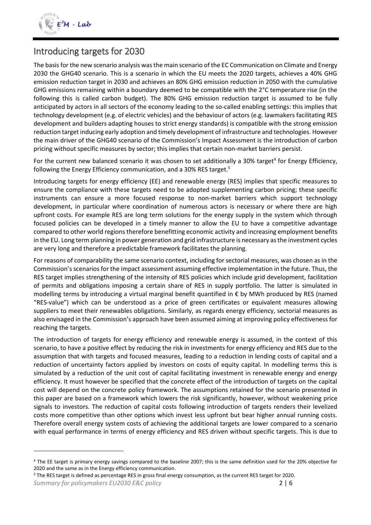

1

## Introducing targets for 2030

The basis for the new scenario analysis was the main scenario of the EC Communication on Climate and Energy 2030 the GHG40 scenario. This is a scenario in which the EU meets the 2020 targets, achieves a 40% GHG emission reduction target in 2030 and achieves an 80% GHG emission reduction in 2050 with the cumulative GHG emissions remaining within a boundary deemed to be compatible with the 2°C temperature rise (in the following this is called carbon budget). The 80% GHG emission reduction target is assumed to be fully anticipated by actors in all sectors of the economy leading to the so-called enabling settings: this implies that technology development (e.g. of electric vehicles) and the behaviour of actors (e.g. lawmakers facilitating RES development and builders adapting houses to strict energy standards) is compatible with the strong emission reduction target inducing early adoption and timely development of infrastructure and technologies. However the main driver of the GHG40 scenario of the Commission's Impact Assessment is the introduction of carbon pricing without specific measures by sector; this implies that certain non-market barriers persist.

For the current new balanced scenario it was chosen to set additionally a 30% target<sup>4</sup> for Energy Efficiency, following the Energy Efficiency communication, and a 30% RES target.<sup>5</sup>

Introducing targets for energy efficiency (EE) and renewable energy (RES) implies that specific measures to ensure the compliance with these targets need to be adopted supplementing carbon pricing; these specific instruments can ensure a more focused response to non-market barriers which support technology development, in particular where coordination of numerous actors is necessary or where there are high upfront costs. For example RES are long term solutions for the energy supply in the system which through focused policies can be developed in a timely manner to allow the EU to have a competitive advantage compared to other world regions therefore benefitting economic activity and increasing employment benefits in the EU. Long term planning in power generation and grid infrastructure is necessary as the investment cycles are very long and therefore a predictable framework facilitates the planning.

For reasons of comparability the same scenario context, including for sectorial measures, was chosen as in the Commission'sscenarios for the impact assessment assuming effective implementation in the future. Thus, the RES target implies strengthening of the intensity of RES policies which include grid development, facilitation of permits and obligations imposing a certain share of RES in supply portfolio. The latter is simulated in modelling terms by introducing a virtual marginal benefit quantified in € by MWh produced by RES (named "RES-value") which can be understood as a price of green certificates or equivalent measures allowing suppliers to meet their renewables obligations. Similarly, as regards energy efficiency, sectorial measures as also envisaged in the Commission's approach have been assumed aiming at improving policy effectiveness for reaching the targets.

The introduction of targets for energy efficiency and renewable energy is assumed, in the context of this scenario, to have a positive effect by reducing the risk in investments for energy efficiency and RES due to the assumption that with targets and focused measures, leading to a reduction in lending costs of capital and a reduction of uncertainty factors applied by investors on costs of equity capital. In modelling terms this is simulated by a reduction of the unit cost of capital facilitating investment in renewable energy and energy efficiency. It must however be specified that the concrete effect of the introduction of targets on the capital cost will depend on the concrete policy framework. The assumptions retained for the scenario presented in this paper are based on a framework which lowers the risk significantly, however, without weakening price signals to investors. The reduction of capital costs following introduction of targets renders their levelized costs more competitive than other options which invest less upfront but bear higher annual running costs. Therefore overall energy system costs of achieving the additional targets are lower compared to a scenario with equal performance in terms of energy efficiency and RES driven without specific targets. This is due to

<sup>&</sup>lt;sup>4</sup> The EE target is primary energy savings compared to the baseline 2007; this is the same definition used for the 20% objective for 2020 and the same as in the Energy efficiency communication.

*Summary for policymakers EU2030 E&C policy* 2 | 6 <sup>5</sup> The RES target is defined as percentage RES in gross final energy consumption, as the current RES target for 2020.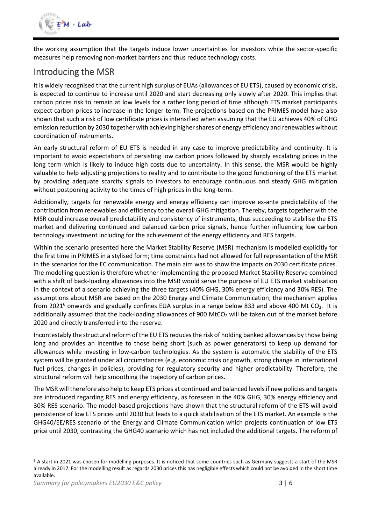

the working assumption that the targets induce lower uncertainties for investors while the sector-specific measures help removing non-market barriers and thus reduce technology costs.

## Introducing the MSR

It is widely recognised that the current high surplus of EUAs (allowances of EU ETS), caused by economic crisis, is expected to continue to increase until 2020 and start decreasing only slowly after 2020. This implies that carbon prices risk to remain at low levels for a rather long period of time although ETS market participants expect carbon prices to increase in the longer term. The projections based on the PRIMES model have also shown that such a risk of low certificate prices is intensified when assuming that the EU achieves 40% of GHG emission reduction by 2030 together with achieving higher shares of energy efficiency and renewables without coordination of instruments.

An early structural reform of EU ETS is needed in any case to improve predictability and continuity. It is important to avoid expectations of persisting low carbon prices followed by sharply escalating prices in the long term which is likely to induce high costs due to uncertainty. In this sense, the MSR would be highly valuable to help adjusting projections to reality and to contribute to the good functioning of the ETS market by providing adequate scarcity signals to investors to encourage continuous and steady GHG mitigation without postponing activity to the times of high prices in the long-term.

Additionally, targets for renewable energy and energy efficiency can improve ex-ante predictability of the contribution from renewables and efficiency to the overall GHG mitigation. Thereby, targets together with the MSR could increase overall predictability and consistency of instruments, thus succeeding to stabilise the ETS market and delivering continued and balanced carbon price signals, hence further influencing low carbon technology investment including for the achievement of the energy efficiency and RES targets.

Within the scenario presented here the Market Stability Reserve (MSR) mechanism is modelled explicitly for the first time in PRIMES in a stylised form; time constraints had not allowed for full representation of the MSR in the scenarios for the EC communication. The main aim was to show the impacts on 2030 certificate prices. The modelling question is therefore whether implementing the proposed Market Stability Reserve combined with a shift of back-loading allowances into the MSR would serve the purpose of EU ETS market stabilisation in the context of a scenario achieving the three targets (40% GHG, 30% energy efficiency and 30% RES). The assumptions about MSR are based on the 2030 Energy and Climate Communication; the mechanism applies from 2021<sup>6</sup> onwards and gradually confines EUA surplus in a range below 833 and above 400 Mt CO<sub>2</sub>. It is additionally assumed that the back-loading allowances of 900 MtCO<sub>2</sub> will be taken out of the market before 2020 and directly transferred into the reserve.

Incontestably the structural reform of the EU ETS reduces the risk of holding banked allowances by those being long and provides an incentive to those being short (such as power generators) to keep up demand for allowances while investing in low-carbon technologies. As the system is automatic the stability of the ETS system will be granted under all circumstances (e.g. economic crisis or growth, strong change in international fuel prices, changes in policies), providing for regulatory security and higher predictability. Therefore, the structural reform will help smoothing the trajectory of carbon prices.

The MSR will therefore also help to keep ETS prices at continued and balanced levelsif new policies and targets are introduced regarding RES and energy efficiency, as foreseen in the 40% GHG, 30% energy efficiency and 30% RES scenario. The model-based projections have shown that the structural reform of the ETS will avoid persistence of low ETS prices until 2030 but leads to a quick stabilisation of the ETS market. An example is the GHG40/EE/RES scenario of the Energy and Climate Communication which projects continuation of low ETS price until 2030, contrasting the GHG40 scenario which has not included the additional targets. The reform of

1

 $6$  A start in 2021 was chosen for modelling purposes. It is noticed that some countries such as Germany suggests a start of the MSR already in 2017. For the modelling result as regards 2030 prices this has negligible effects which could not be avoided in the short time available.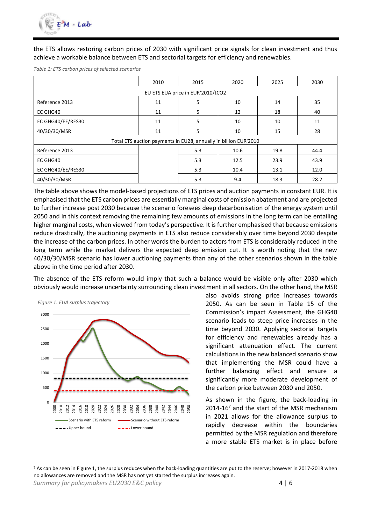

the ETS allows restoring carbon prices of 2030 with significant price signals for clean investment and thus achieve a workable balance between ETS and sectorial targets for efficiency and renewables.

|                                                                  | 2010 | 2015 | 2020 | 2025 | 2030 |  |  |  |  |
|------------------------------------------------------------------|------|------|------|------|------|--|--|--|--|
| EU ETS EUA price in EUR'2010/tCO2                                |      |      |      |      |      |  |  |  |  |
| Reference 2013                                                   | 11   | 5    | 10   | 14   | 35   |  |  |  |  |
| EC GHG40                                                         | 11   | 5    | 12   | 18   | 40   |  |  |  |  |
| EC GHG40/EE/RES30                                                | 11   | 5    | 10   | 10   | 11   |  |  |  |  |
| 40/30/30/MSR                                                     | 11   | 5    | 10   | 15   | 28   |  |  |  |  |
| Total ETS auction payments in EU28, annually in billion EUR'2010 |      |      |      |      |      |  |  |  |  |
| Reference 2013                                                   |      | 5.3  | 10.6 | 19.8 | 44.4 |  |  |  |  |
| EC GHG40                                                         |      | 5.3  | 12.5 | 23.9 | 43.9 |  |  |  |  |
| EC GHG40/EE/RES30                                                |      | 5.3  | 10.4 | 13.1 | 12.0 |  |  |  |  |
| 40/30/30/MSR                                                     |      | 5.3  | 9.4  | 18.3 | 28.2 |  |  |  |  |

*Table 1: ETS carbon prices of selected scenarios*

The table above shows the model-based projections of ETS prices and auction payments in constant EUR. It is emphasised that the ETS carbon prices are essentially marginal costs of emission abatement and are projected to further increase post 2030 because the scenario foresees deep decarbonisation of the energy system until 2050 and in this context removing the remaining few amounts of emissions in the long term can be entailing higher marginal costs, when viewed from today's perspective. It is further emphasised that because emissions reduce drastically, the auctioning payments in ETS also reduce considerably over time beyond 2030 despite the increase of the carbon prices. In other words the burden to actors from ETS is considerably reduced in the long term while the market delivers the expected deep emission cut. It is worth noting that the new 40/30/30/MSR scenario has lower auctioning payments than any of the other scenarios shown in the table above in the time period after 2030.

The absence of the ETS reform would imply that such a balance would be visible only after 2030 which obviously would increase uncertainty surrounding clean investment in all sectors. On the other hand, the MSR

<span id="page-3-0"></span>

also avoids strong price increases towards 2050. As can be seen in Table 15 of the Commission's impact Assessment, the GHG40 scenario leads to steep price increases in the time beyond 2030. Applying sectorial targets for efficiency and renewables already has a significant attenuation effect. The current calculations in the new balanced scenario show that implementing the MSR could have a further balancing effect and ensure a significantly more moderate development of the carbon price between 2030 and 2050.

As shown in the figure, the back-loading in 2014-16<sup>7</sup> and the start of the MSR mechanism in 2021 allows for the allowance surplus to rapidly decrease within the boundaries permitted by the MSR regulation and therefore a more stable ETS market is in place before

**.** 

*Summary for policymakers EU2030 E&C policy*  $\overline{4}$  | 6 <sup>7</sup> As can be seen i[n Figure 1,](#page-3-0) the surplus reduces when the back-loading quantities are put to the reserve; however in 2017-2018 when no allowances are removed and the MSR has not yet started the surplus increases again.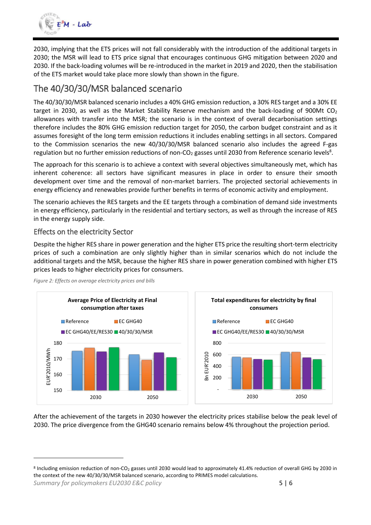

2030, implying that the ETS prices will not fall considerably with the introduction of the additional targets in 2030; the MSR will lead to ETS price signal that encourages continuous GHG mitigation between 2020 and 2030. If the back-loading volumes will be re-introduced in the market in 2019 and 2020, then the stabilisation of the ETS market would take place more slowly than shown in the figure.

### The 40/30/30/MSR balanced scenario

The 40/30/30/MSR balanced scenario includes a 40% GHG emission reduction, a 30% RES target and a 30% EE target in 2030, as well as the Market Stability Reserve mechanism and the back-loading of 900Mt  $CO<sub>2</sub>$ allowances with transfer into the MSR; the scenario is in the context of overall decarbonisation settings therefore includes the 80% GHG emission reduction target for 2050, the carbon budget constraint and as it assumes foresight of the long term emission reductions it includes enabling settings in all sectors. Compared to the Commission scenarios the new 40/30/30/MSR balanced scenario also includes the agreed F-gas regulation but no further emission reductions of non-CO<sub>2</sub> gasses until 2030 from Reference scenario levels<sup>8</sup>.

The approach for this scenario is to achieve a context with several objectives simultaneously met, which has inherent coherence: all sectors have significant measures in place in order to ensure their smooth development over time and the removal of non-market barriers. The projected sectorial achievements in energy efficiency and renewables provide further benefits in terms of economic activity and employment.

The scenario achieves the RES targets and the EE targets through a combination of demand side investments in energy efficiency, particularly in the residential and tertiary sectors, as well as through the increase of RES in the energy supply side.

#### Effects on the electricity Sector

**.** 

Despite the higher RES share in power generation and the higher ETS price the resulting short-term electricity prices of such a combination are only slightly higher than in similar scenarios which do not include the additional targets and the MSR, because the higher RES share in power generation combined with higher ETS prices leads to higher electricity prices for consumers.



*Figure 2: Effects on average electricity prices and bills*

After the achievement of the targets in 2030 however the electricity prices stabilise below the peak level of 2030. The price divergence from the GHG40 scenario remains below 4% throughout the projection period.

*Summary for policymakers EU2030 E&C policy* 5 | 6 <sup>8</sup> Including emission reduction of non-CO<sub>2</sub> gasses until 2030 would lead to approximately 41.4% reduction of overall GHG by 2030 in the context of the new 40/30/30/MSR balanced scenario, according to PRIMES model calculations.